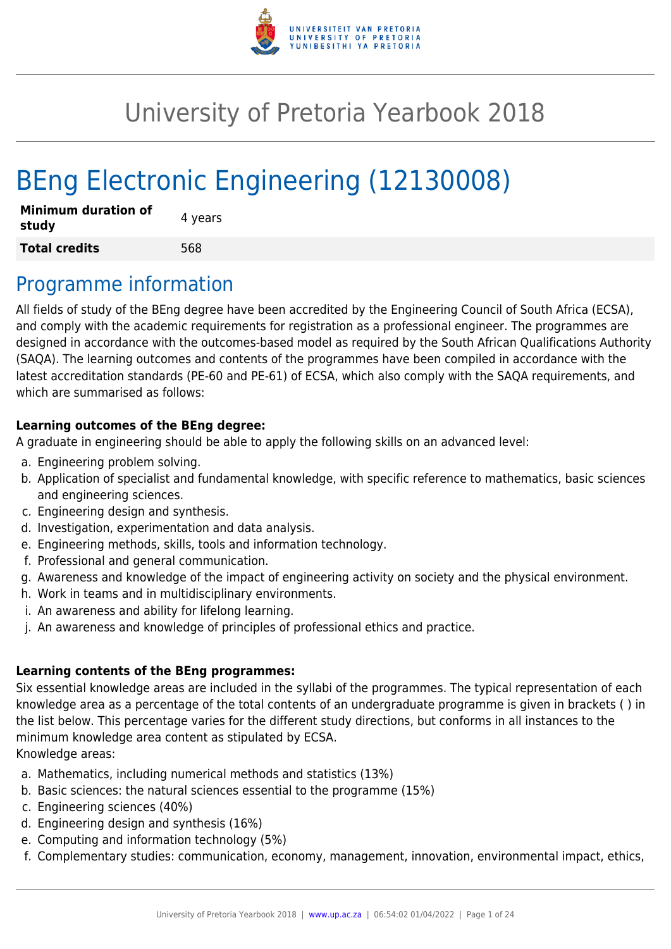

# University of Pretoria Yearbook 2018

# BEng Electronic Engineering (12130008)

| <b>Minimum duration of</b><br>study | 4 years |
|-------------------------------------|---------|
| <b>Total credits</b>                | 568     |

# Programme information

All fields of study of the BEng degree have been accredited by the Engineering Council of South Africa (ECSA), and comply with the academic requirements for registration as a professional engineer. The programmes are designed in accordance with the outcomes-based model as required by the South African Qualifications Authority (SAQA). The learning outcomes and contents of the programmes have been compiled in accordance with the latest accreditation standards (PE-60 and PE-61) of ECSA, which also comply with the SAQA requirements, and which are summarised as follows:

### **Learning outcomes of the BEng degree:**

A graduate in engineering should be able to apply the following skills on an advanced level:

- a. Engineering problem solving.
- b. Application of specialist and fundamental knowledge, with specific reference to mathematics, basic sciences and engineering sciences.
- c. Engineering design and synthesis.
- d. Investigation, experimentation and data analysis.
- e. Engineering methods, skills, tools and information technology.
- f. Professional and general communication.
- g. Awareness and knowledge of the impact of engineering activity on society and the physical environment.
- h. Work in teams and in multidisciplinary environments.
- i. An awareness and ability for lifelong learning.
- j. An awareness and knowledge of principles of professional ethics and practice.

### **Learning contents of the BEng programmes:**

Six essential knowledge areas are included in the syllabi of the programmes. The typical representation of each knowledge area as a percentage of the total contents of an undergraduate programme is given in brackets ( ) in the list below. This percentage varies for the different study directions, but conforms in all instances to the minimum knowledge area content as stipulated by ECSA. Knowledge areas:

- a. Mathematics, including numerical methods and statistics (13%)
- b. Basic sciences: the natural sciences essential to the programme (15%)
- c. Engineering sciences (40%)
- d. Engineering design and synthesis (16%)
- e. Computing and information technology (5%)
- f. Complementary studies: communication, economy, management, innovation, environmental impact, ethics,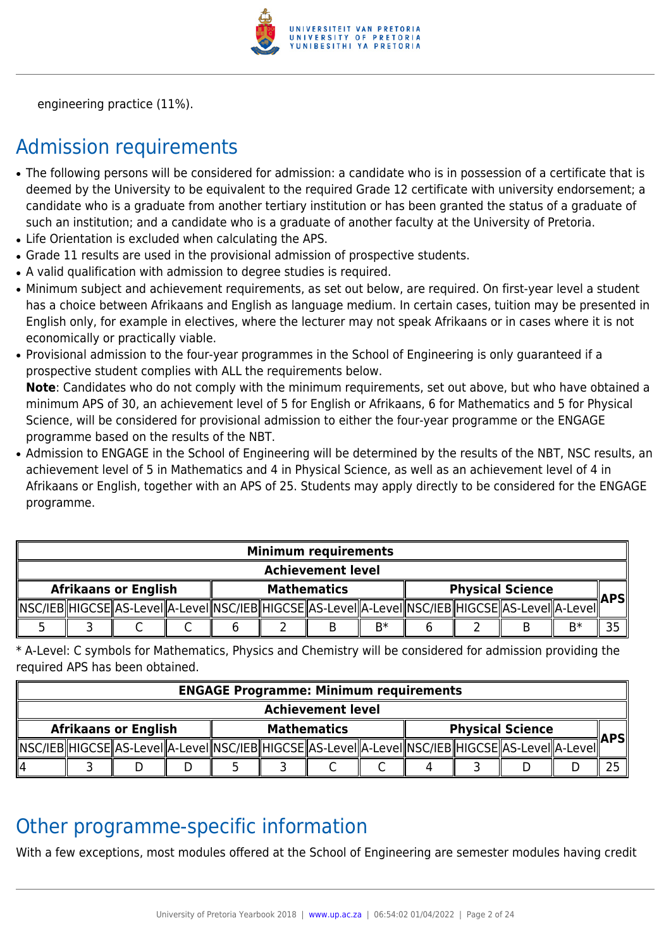

engineering practice (11%).

# Admission requirements

- The following persons will be considered for admission: a candidate who is in possession of a certificate that is deemed by the University to be equivalent to the required Grade 12 certificate with university endorsement; a candidate who is a graduate from another tertiary institution or has been granted the status of a graduate of such an institution; and a candidate who is a graduate of another faculty at the University of Pretoria.
- Life Orientation is excluded when calculating the APS.
- Grade 11 results are used in the provisional admission of prospective students.
- A valid qualification with admission to degree studies is required.
- Minimum subject and achievement requirements, as set out below, are required. On first-year level a student has a choice between Afrikaans and English as language medium. In certain cases, tuition may be presented in English only, for example in electives, where the lecturer may not speak Afrikaans or in cases where it is not economically or practically viable.
- Provisional admission to the four-year programmes in the School of Engineering is only guaranteed if a prospective student complies with ALL the requirements below.

**Note**: Candidates who do not comply with the minimum requirements, set out above, but who have obtained a minimum APS of 30, an achievement level of 5 for English or Afrikaans, 6 for Mathematics and 5 for Physical Science, will be considered for provisional admission to either the four-year programme or the ENGAGE programme based on the results of the NBT.

• Admission to ENGAGE in the School of Engineering will be determined by the results of the NBT, NSC results, an achievement level of 5 in Mathematics and 4 in Physical Science, as well as an achievement level of 4 in Afrikaans or English, together with an APS of 25. Students may apply directly to be considered for the ENGAGE programme.

|                             | <b>Minimum requirements</b> |  |  |  |  |                    |      |  |                                                                                                            |      |            |
|-----------------------------|-----------------------------|--|--|--|--|--------------------|------|--|------------------------------------------------------------------------------------------------------------|------|------------|
|                             | <b>Achievement level</b>    |  |  |  |  |                    |      |  |                                                                                                            |      |            |
| <b>Afrikaans or English</b> |                             |  |  |  |  | <b>Mathematics</b> |      |  | <b>Physical Science</b>                                                                                    |      | <b>APS</b> |
|                             |                             |  |  |  |  |                    |      |  | NSC/IEB  HIGCSE  AS-Level  A-Level  NSC/IEB  HIGCSE  AS-Level  A-Level  NSC/IEB  HIGCSE  AS-Level  A-Level |      |            |
|                             |                             |  |  |  |  |                    | $B*$ |  |                                                                                                            | $R*$ |            |

\* A-Level: C symbols for Mathematics, Physics and Chemistry will be considered for admission providing the required APS has been obtained.

|                             | <b>ENGAGE Programme: Minimum requirements</b> |  |                    |  |  |                         |  |  |  |                                                                                                             |  |  |
|-----------------------------|-----------------------------------------------|--|--------------------|--|--|-------------------------|--|--|--|-------------------------------------------------------------------------------------------------------------|--|--|
|                             | <b>Achievement level</b>                      |  |                    |  |  |                         |  |  |  |                                                                                                             |  |  |
| <b>Afrikaans or English</b> |                                               |  | <b>Mathematics</b> |  |  | <b>Physical Science</b> |  |  |  | ∥APS∥                                                                                                       |  |  |
|                             |                                               |  |                    |  |  |                         |  |  |  | _MSC/IEB  HIGCSE  AS-Level  A-Level  NSC/IEB  HIGCSE  AS-Level  A-Level  NSC/IEB  HIGCSE  AS-Level  A-Level |  |  |
| 114                         |                                               |  |                    |  |  |                         |  |  |  |                                                                                                             |  |  |

# Other programme-specific information

With a few exceptions, most modules offered at the School of Engineering are semester modules having credit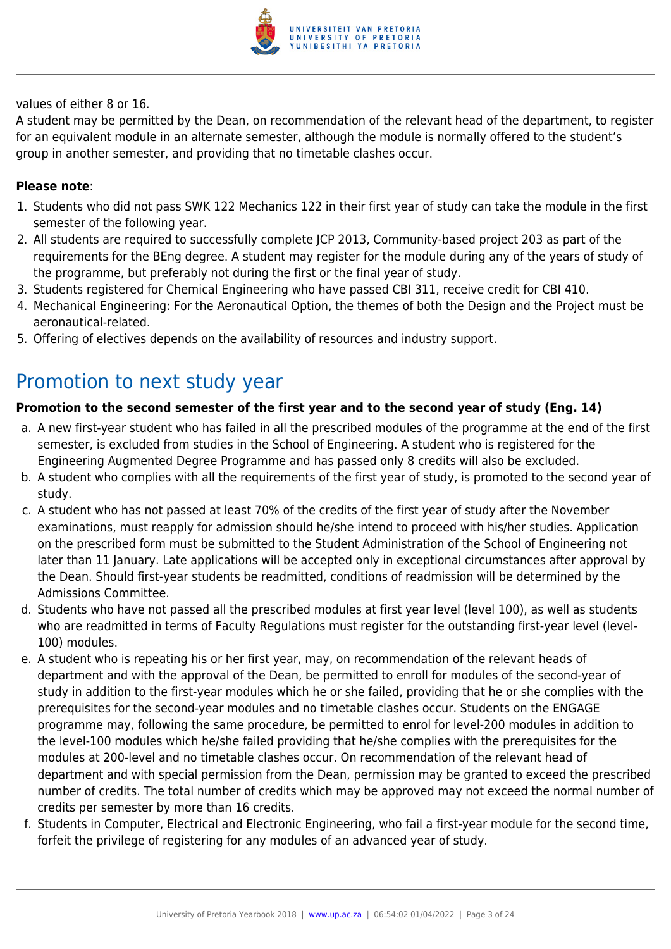

values of either 8 or 16.

A student may be permitted by the Dean, on recommendation of the relevant head of the department, to register for an equivalent module in an alternate semester, although the module is normally offered to the student's group in another semester, and providing that no timetable clashes occur.

### **Please note**:

- 1. Students who did not pass SWK 122 Mechanics 122 in their first year of study can take the module in the first semester of the following year.
- 2. All students are required to successfully complete JCP 2013, Community-based project 203 as part of the requirements for the BEng degree. A student may register for the module during any of the years of study of the programme, but preferably not during the first or the final year of study.
- 3. Students registered for Chemical Engineering who have passed CBI 311, receive credit for CBI 410.
- 4. Mechanical Engineering: For the Aeronautical Option, the themes of both the Design and the Project must be aeronautical-related.
- 5. Offering of electives depends on the availability of resources and industry support.

# Promotion to next study year

### **Promotion to the second semester of the first year and to the second year of study (Eng. 14)**

- a. A new first-year student who has failed in all the prescribed modules of the programme at the end of the first semester, is excluded from studies in the School of Engineering. A student who is registered for the Engineering Augmented Degree Programme and has passed only 8 credits will also be excluded.
- b. A student who complies with all the requirements of the first year of study, is promoted to the second year of study.
- c. A student who has not passed at least 70% of the credits of the first year of study after the November examinations, must reapply for admission should he/she intend to proceed with his/her studies. Application on the prescribed form must be submitted to the Student Administration of the School of Engineering not later than 11 January. Late applications will be accepted only in exceptional circumstances after approval by the Dean. Should first-year students be readmitted, conditions of readmission will be determined by the Admissions Committee.
- d. Students who have not passed all the prescribed modules at first year level (level 100), as well as students who are readmitted in terms of Faculty Regulations must register for the outstanding first-year level (level-100) modules.
- e. A student who is repeating his or her first year, may, on recommendation of the relevant heads of department and with the approval of the Dean, be permitted to enroll for modules of the second-year of study in addition to the first-year modules which he or she failed, providing that he or she complies with the prerequisites for the second-year modules and no timetable clashes occur. Students on the ENGAGE programme may, following the same procedure, be permitted to enrol for level-200 modules in addition to the level-100 modules which he/she failed providing that he/she complies with the prerequisites for the modules at 200-level and no timetable clashes occur. On recommendation of the relevant head of department and with special permission from the Dean, permission may be granted to exceed the prescribed number of credits. The total number of credits which may be approved may not exceed the normal number of credits per semester by more than 16 credits.
- f. Students in Computer, Electrical and Electronic Engineering, who fail a first-year module for the second time, forfeit the privilege of registering for any modules of an advanced year of study.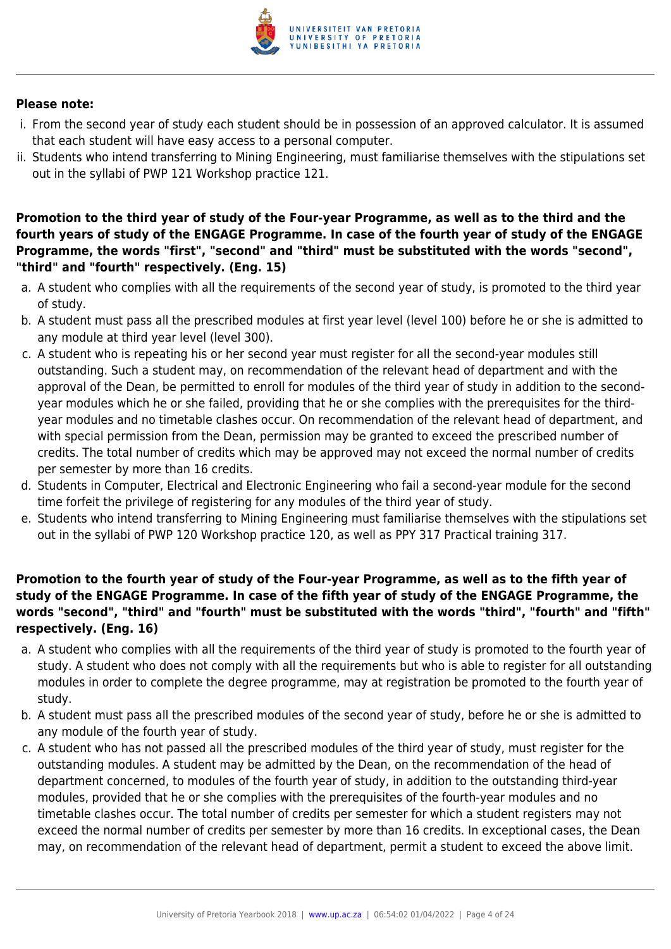

#### **Please note:**

- i. From the second year of study each student should be in possession of an approved calculator. It is assumed that each student will have easy access to a personal computer.
- ii. Students who intend transferring to Mining Engineering, must familiarise themselves with the stipulations set out in the syllabi of PWP 121 Workshop practice 121.

### **Promotion to the third year of study of the Four-year Programme, as well as to the third and the fourth years of study of the ENGAGE Programme. In case of the fourth year of study of the ENGAGE Programme, the words "first", "second" and "third" must be substituted with the words "second", "third" and "fourth" respectively. (Eng. 15)**

- a. A student who complies with all the requirements of the second year of study, is promoted to the third year of study.
- b. A student must pass all the prescribed modules at first year level (level 100) before he or she is admitted to any module at third year level (level 300).
- c. A student who is repeating his or her second year must register for all the second-year modules still outstanding. Such a student may, on recommendation of the relevant head of department and with the approval of the Dean, be permitted to enroll for modules of the third year of study in addition to the secondyear modules which he or she failed, providing that he or she complies with the prerequisites for the thirdyear modules and no timetable clashes occur. On recommendation of the relevant head of department, and with special permission from the Dean, permission may be granted to exceed the prescribed number of credits. The total number of credits which may be approved may not exceed the normal number of credits per semester by more than 16 credits.
- d. Students in Computer, Electrical and Electronic Engineering who fail a second-year module for the second time forfeit the privilege of registering for any modules of the third year of study.
- e. Students who intend transferring to Mining Engineering must familiarise themselves with the stipulations set out in the syllabi of PWP 120 Workshop practice 120, as well as PPY 317 Practical training 317.

# **Promotion to the fourth year of study of the Four-year Programme, as well as to the fifth year of study of the ENGAGE Programme. In case of the fifth year of study of the ENGAGE Programme, the words "second", "third" and "fourth" must be substituted with the words "third", "fourth" and "fifth" respectively. (Eng. 16)**

- a. A student who complies with all the requirements of the third year of study is promoted to the fourth year of study. A student who does not comply with all the requirements but who is able to register for all outstanding modules in order to complete the degree programme, may at registration be promoted to the fourth year of study.
- b. A student must pass all the prescribed modules of the second year of study, before he or she is admitted to any module of the fourth year of study.
- c. A student who has not passed all the prescribed modules of the third year of study, must register for the outstanding modules. A student may be admitted by the Dean, on the recommendation of the head of department concerned, to modules of the fourth year of study, in addition to the outstanding third-year modules, provided that he or she complies with the prerequisites of the fourth-year modules and no timetable clashes occur. The total number of credits per semester for which a student registers may not exceed the normal number of credits per semester by more than 16 credits. In exceptional cases, the Dean may, on recommendation of the relevant head of department, permit a student to exceed the above limit.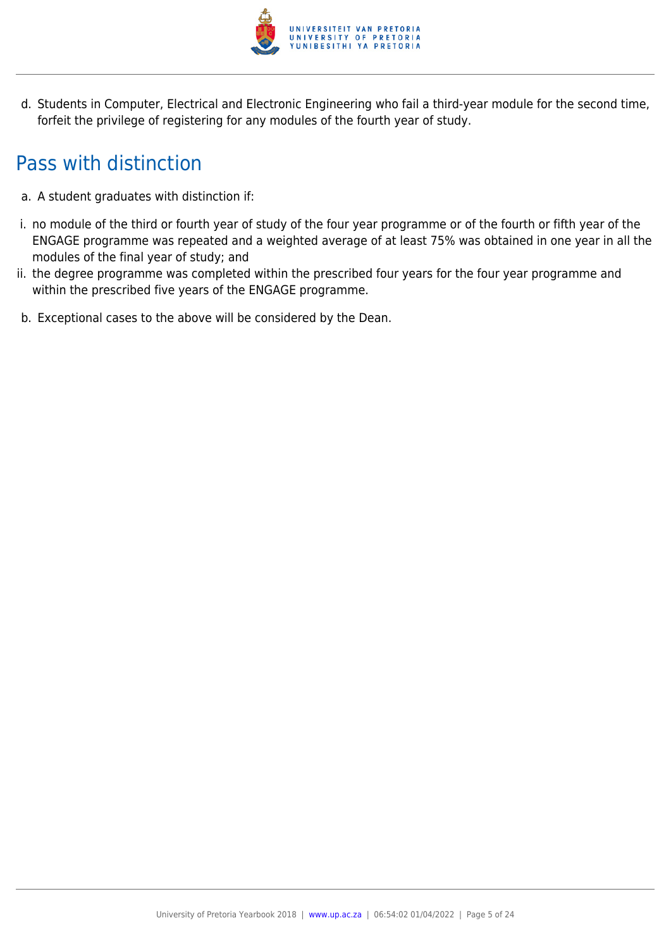

d. Students in Computer, Electrical and Electronic Engineering who fail a third-year module for the second time, forfeit the privilege of registering for any modules of the fourth year of study.

# Pass with distinction

- a. A student graduates with distinction if:
- i. no module of the third or fourth year of study of the four year programme or of the fourth or fifth year of the ENGAGE programme was repeated and a weighted average of at least 75% was obtained in one year in all the modules of the final year of study; and
- ii. the degree programme was completed within the prescribed four years for the four year programme and within the prescribed five years of the ENGAGE programme.
- b. Exceptional cases to the above will be considered by the Dean.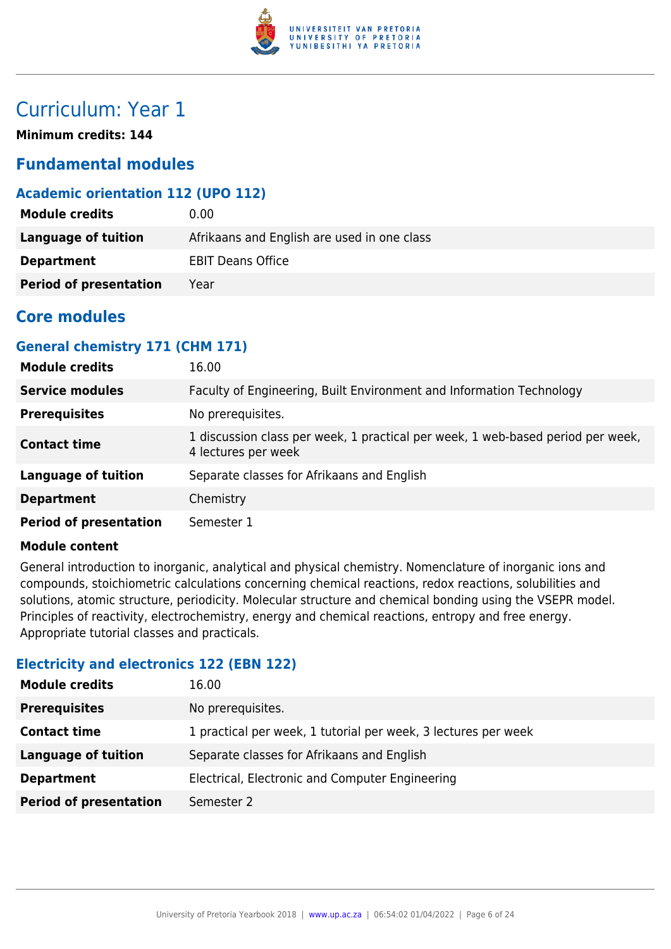

# Curriculum: Year 1

**Minimum credits: 144**

# **Fundamental modules**

# **Academic orientation 112 (UPO 112)**

| <b>Module credits</b>         | 0.00                                        |
|-------------------------------|---------------------------------------------|
| Language of tuition           | Afrikaans and English are used in one class |
| <b>Department</b>             | <b>EBIT Deans Office</b>                    |
| <b>Period of presentation</b> | Year                                        |

# **Core modules**

# **General chemistry 171 (CHM 171)**

| <b>Module credits</b>         | 16.00                                                                                                  |
|-------------------------------|--------------------------------------------------------------------------------------------------------|
| <b>Service modules</b>        | Faculty of Engineering, Built Environment and Information Technology                                   |
| <b>Prerequisites</b>          | No prerequisites.                                                                                      |
| <b>Contact time</b>           | 1 discussion class per week, 1 practical per week, 1 web-based period per week,<br>4 lectures per week |
| <b>Language of tuition</b>    | Separate classes for Afrikaans and English                                                             |
| <b>Department</b>             | Chemistry                                                                                              |
| <b>Period of presentation</b> | Semester 1                                                                                             |

#### **Module content**

General introduction to inorganic, analytical and physical chemistry. Nomenclature of inorganic ions and compounds, stoichiometric calculations concerning chemical reactions, redox reactions, solubilities and solutions, atomic structure, periodicity. Molecular structure and chemical bonding using the VSEPR model. Principles of reactivity, electrochemistry, energy and chemical reactions, entropy and free energy. Appropriate tutorial classes and practicals.

# **Electricity and electronics 122 (EBN 122)**

| <b>Module credits</b>         | 16.00                                                          |
|-------------------------------|----------------------------------------------------------------|
| <b>Prerequisites</b>          | No prerequisites.                                              |
| <b>Contact time</b>           | 1 practical per week, 1 tutorial per week, 3 lectures per week |
| <b>Language of tuition</b>    | Separate classes for Afrikaans and English                     |
| <b>Department</b>             | Electrical, Electronic and Computer Engineering                |
| <b>Period of presentation</b> | Semester 2                                                     |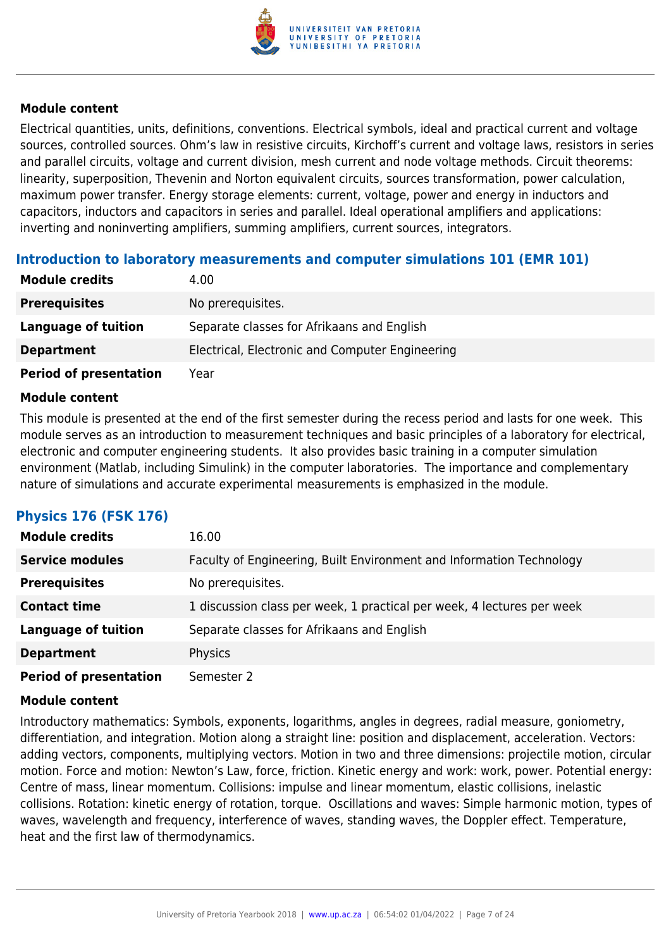

Electrical quantities, units, definitions, conventions. Electrical symbols, ideal and practical current and voltage sources, controlled sources. Ohm's law in resistive circuits, Kirchoff's current and voltage laws, resistors in series and parallel circuits, voltage and current division, mesh current and node voltage methods. Circuit theorems: linearity, superposition, Thevenin and Norton equivalent circuits, sources transformation, power calculation, maximum power transfer. Energy storage elements: current, voltage, power and energy in inductors and capacitors, inductors and capacitors in series and parallel. Ideal operational amplifiers and applications: inverting and noninverting amplifiers, summing amplifiers, current sources, integrators.

# **Introduction to laboratory measurements and computer simulations 101 (EMR 101)**

| <b>Module credits</b>         | 4.00                                            |
|-------------------------------|-------------------------------------------------|
| <b>Prerequisites</b>          | No prerequisites.                               |
| Language of tuition           | Separate classes for Afrikaans and English      |
| <b>Department</b>             | Electrical, Electronic and Computer Engineering |
| <b>Period of presentation</b> | Year                                            |

#### **Module content**

This module is presented at the end of the first semester during the recess period and lasts for one week. This module serves as an introduction to measurement techniques and basic principles of a laboratory for electrical, electronic and computer engineering students. It also provides basic training in a computer simulation environment (Matlab, including Simulink) in the computer laboratories. The importance and complementary nature of simulations and accurate experimental measurements is emphasized in the module.

# **Physics 176 (FSK 176)**

| <b>Module credits</b>         | 16.00                                                                  |
|-------------------------------|------------------------------------------------------------------------|
| <b>Service modules</b>        | Faculty of Engineering, Built Environment and Information Technology   |
| <b>Prerequisites</b>          | No prerequisites.                                                      |
| <b>Contact time</b>           | 1 discussion class per week, 1 practical per week, 4 lectures per week |
| <b>Language of tuition</b>    | Separate classes for Afrikaans and English                             |
| <b>Department</b>             | Physics                                                                |
| <b>Period of presentation</b> | Semester 2                                                             |

#### **Module content**

Introductory mathematics: Symbols, exponents, logarithms, angles in degrees, radial measure, goniometry, differentiation, and integration. Motion along a straight line: position and displacement, acceleration. Vectors: adding vectors, components, multiplying vectors. Motion in two and three dimensions: projectile motion, circular motion. Force and motion: Newton's Law, force, friction. Kinetic energy and work: work, power. Potential energy: Centre of mass, linear momentum. Collisions: impulse and linear momentum, elastic collisions, inelastic collisions. Rotation: kinetic energy of rotation, torque. Oscillations and waves: Simple harmonic motion, types of waves, wavelength and frequency, interference of waves, standing waves, the Doppler effect. Temperature, heat and the first law of thermodynamics.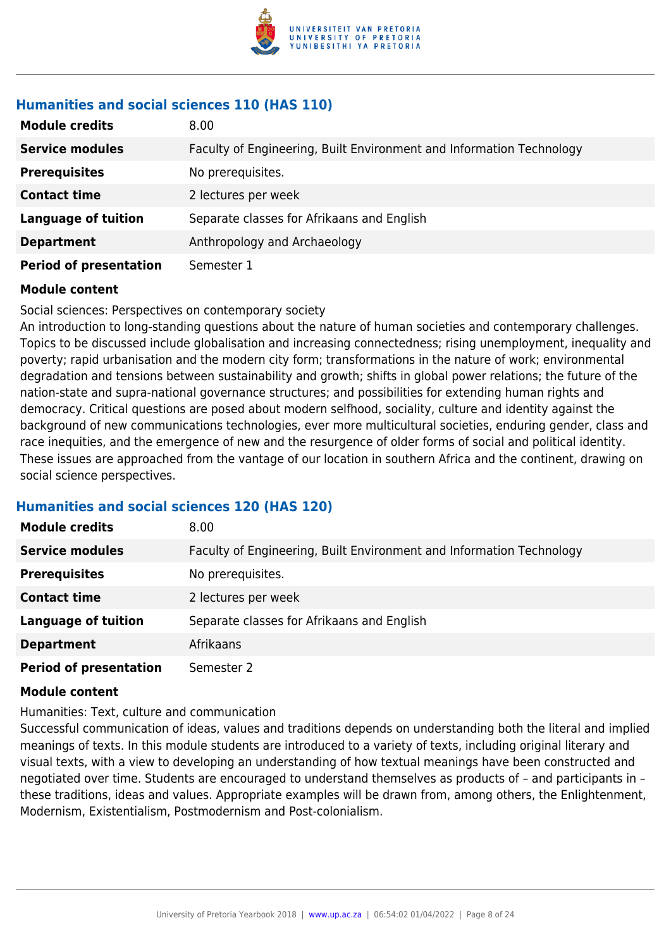

# **Humanities and social sciences 110 (HAS 110)**

| <b>Module credits</b>         | 8.00                                                                 |
|-------------------------------|----------------------------------------------------------------------|
| <b>Service modules</b>        | Faculty of Engineering, Built Environment and Information Technology |
| <b>Prerequisites</b>          | No prerequisites.                                                    |
| <b>Contact time</b>           | 2 lectures per week                                                  |
| <b>Language of tuition</b>    | Separate classes for Afrikaans and English                           |
| <b>Department</b>             | Anthropology and Archaeology                                         |
| <b>Period of presentation</b> | Semester 1                                                           |

# **Module content**

# Social sciences: Perspectives on contemporary society

An introduction to long-standing questions about the nature of human societies and contemporary challenges. Topics to be discussed include globalisation and increasing connectedness; rising unemployment, inequality and poverty; rapid urbanisation and the modern city form; transformations in the nature of work; environmental degradation and tensions between sustainability and growth; shifts in global power relations; the future of the nation-state and supra-national governance structures; and possibilities for extending human rights and democracy. Critical questions are posed about modern selfhood, sociality, culture and identity against the background of new communications technologies, ever more multicultural societies, enduring gender, class and race inequities, and the emergence of new and the resurgence of older forms of social and political identity. These issues are approached from the vantage of our location in southern Africa and the continent, drawing on social science perspectives.

# **Humanities and social sciences 120 (HAS 120)**

| <b>Module credits</b>         | 8.00                                                                 |
|-------------------------------|----------------------------------------------------------------------|
| <b>Service modules</b>        | Faculty of Engineering, Built Environment and Information Technology |
| <b>Prerequisites</b>          | No prerequisites.                                                    |
| <b>Contact time</b>           | 2 lectures per week                                                  |
| <b>Language of tuition</b>    | Separate classes for Afrikaans and English                           |
| <b>Department</b>             | Afrikaans                                                            |
| <b>Period of presentation</b> | Semester 2                                                           |

# **Module content**

Humanities: Text, culture and communication

Successful communication of ideas, values and traditions depends on understanding both the literal and implied meanings of texts. In this module students are introduced to a variety of texts, including original literary and visual texts, with a view to developing an understanding of how textual meanings have been constructed and negotiated over time. Students are encouraged to understand themselves as products of – and participants in – these traditions, ideas and values. Appropriate examples will be drawn from, among others, the Enlightenment, Modernism, Existentialism, Postmodernism and Post-colonialism.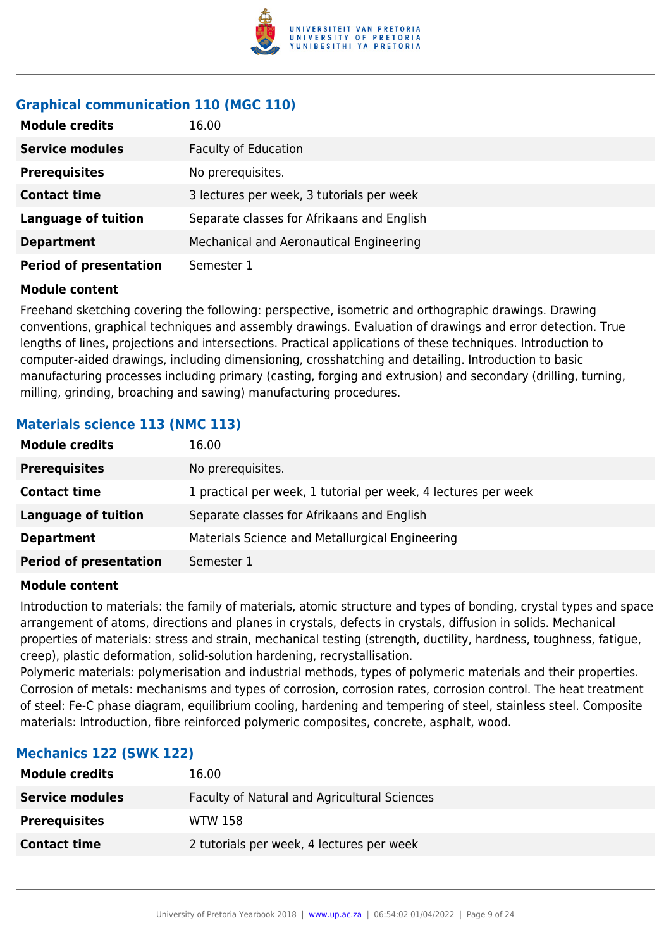

# **Graphical communication 110 (MGC 110)**

| <b>Module credits</b>         | 16.00                                      |
|-------------------------------|--------------------------------------------|
| <b>Service modules</b>        | <b>Faculty of Education</b>                |
| <b>Prerequisites</b>          | No prerequisites.                          |
| <b>Contact time</b>           | 3 lectures per week, 3 tutorials per week  |
| <b>Language of tuition</b>    | Separate classes for Afrikaans and English |
| <b>Department</b>             | Mechanical and Aeronautical Engineering    |
| <b>Period of presentation</b> | Semester 1                                 |

#### **Module content**

Freehand sketching covering the following: perspective, isometric and orthographic drawings. Drawing conventions, graphical techniques and assembly drawings. Evaluation of drawings and error detection. True lengths of lines, projections and intersections. Practical applications of these techniques. Introduction to computer-aided drawings, including dimensioning, crosshatching and detailing. Introduction to basic manufacturing processes including primary (casting, forging and extrusion) and secondary (drilling, turning, milling, grinding, broaching and sawing) manufacturing procedures.

# **Materials science 113 (NMC 113)**

| <b>Module credits</b>         | 16.00                                                          |
|-------------------------------|----------------------------------------------------------------|
| <b>Prerequisites</b>          | No prerequisites.                                              |
| <b>Contact time</b>           | 1 practical per week, 1 tutorial per week, 4 lectures per week |
| <b>Language of tuition</b>    | Separate classes for Afrikaans and English                     |
| <b>Department</b>             | Materials Science and Metallurgical Engineering                |
| <b>Period of presentation</b> | Semester 1                                                     |

#### **Module content**

Introduction to materials: the family of materials, atomic structure and types of bonding, crystal types and space arrangement of atoms, directions and planes in crystals, defects in crystals, diffusion in solids. Mechanical properties of materials: stress and strain, mechanical testing (strength, ductility, hardness, toughness, fatigue, creep), plastic deformation, solid-solution hardening, recrystallisation.

Polymeric materials: polymerisation and industrial methods, types of polymeric materials and their properties. Corrosion of metals: mechanisms and types of corrosion, corrosion rates, corrosion control. The heat treatment of steel: Fe-C phase diagram, equilibrium cooling, hardening and tempering of steel, stainless steel. Composite materials: Introduction, fibre reinforced polymeric composites, concrete, asphalt, wood.

# **Mechanics 122 (SWK 122)**

| <b>Module credits</b>  | 16.00                                        |
|------------------------|----------------------------------------------|
| <b>Service modules</b> | Faculty of Natural and Agricultural Sciences |
| <b>Prerequisites</b>   | <b>WTW 158</b>                               |
| <b>Contact time</b>    | 2 tutorials per week, 4 lectures per week    |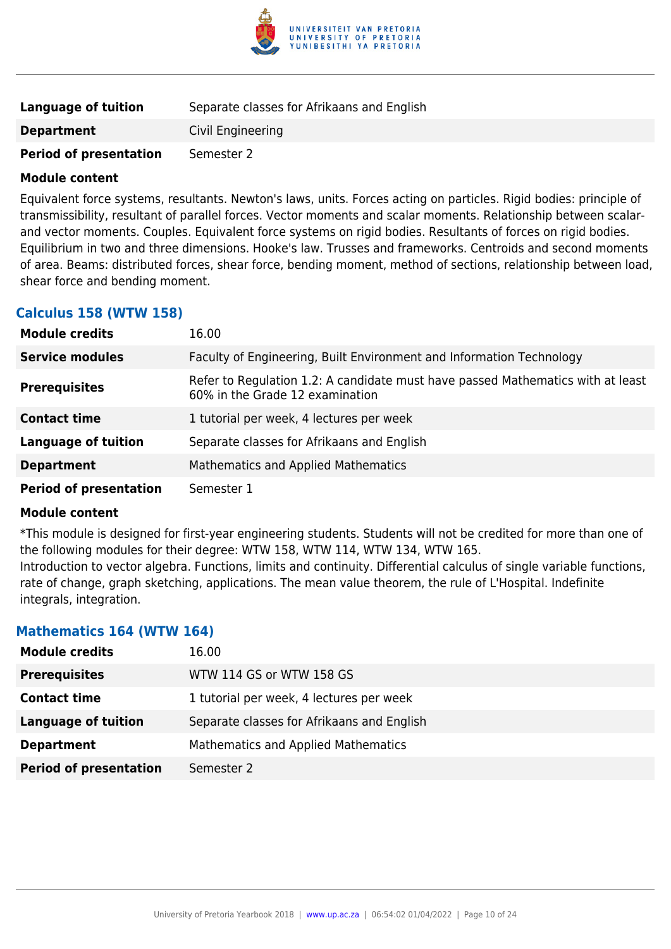

| Language of tuition           | Separate classes for Afrikaans and English |
|-------------------------------|--------------------------------------------|
| <b>Department</b>             | Civil Engineering                          |
| <b>Period of presentation</b> | Semester 2                                 |

Equivalent force systems, resultants. Newton's laws, units. Forces acting on particles. Rigid bodies: principle of transmissibility, resultant of parallel forces. Vector moments and scalar moments. Relationship between scalarand vector moments. Couples. Equivalent force systems on rigid bodies. Resultants of forces on rigid bodies. Equilibrium in two and three dimensions. Hooke's law. Trusses and frameworks. Centroids and second moments of area. Beams: distributed forces, shear force, bending moment, method of sections, relationship between load, shear force and bending moment.

### **Calculus 158 (WTW 158)**

| <b>Module credits</b>         | 16.00                                                                                                              |
|-------------------------------|--------------------------------------------------------------------------------------------------------------------|
| <b>Service modules</b>        | Faculty of Engineering, Built Environment and Information Technology                                               |
| <b>Prerequisites</b>          | Refer to Regulation 1.2: A candidate must have passed Mathematics with at least<br>60% in the Grade 12 examination |
| <b>Contact time</b>           | 1 tutorial per week, 4 lectures per week                                                                           |
| <b>Language of tuition</b>    | Separate classes for Afrikaans and English                                                                         |
| <b>Department</b>             | <b>Mathematics and Applied Mathematics</b>                                                                         |
| <b>Period of presentation</b> | Semester 1                                                                                                         |

#### **Module content**

\*This module is designed for first-year engineering students. Students will not be credited for more than one of the following modules for their degree: WTW 158, WTW 114, WTW 134, WTW 165.

Introduction to vector algebra. Functions, limits and continuity. Differential calculus of single variable functions, rate of change, graph sketching, applications. The mean value theorem, the rule of L'Hospital. Indefinite integrals, integration.

### **Mathematics 164 (WTW 164)**

| <b>Module credits</b>         | 16.00                                      |
|-------------------------------|--------------------------------------------|
| <b>Prerequisites</b>          | WTW 114 GS or WTW 158 GS                   |
| <b>Contact time</b>           | 1 tutorial per week, 4 lectures per week   |
| <b>Language of tuition</b>    | Separate classes for Afrikaans and English |
| <b>Department</b>             | Mathematics and Applied Mathematics        |
| <b>Period of presentation</b> | Semester 2                                 |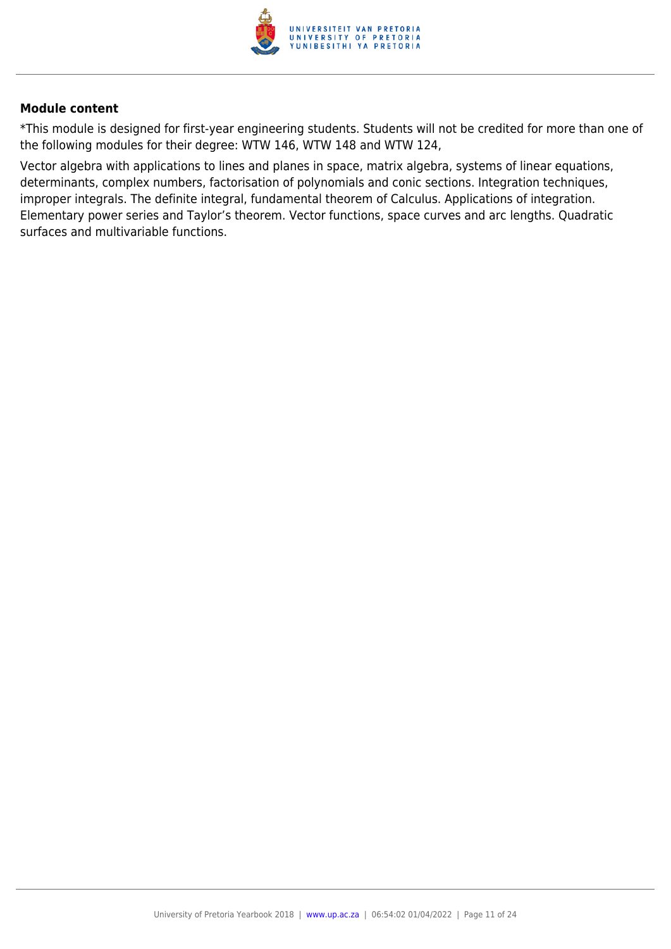

\*This module is designed for first-year engineering students. Students will not be credited for more than one of the following modules for their degree: WTW 146, WTW 148 and WTW 124,

Vector algebra with applications to lines and planes in space, matrix algebra, systems of linear equations, determinants, complex numbers, factorisation of polynomials and conic sections. Integration techniques, improper integrals. The definite integral, fundamental theorem of Calculus. Applications of integration. Elementary power series and Taylor's theorem. Vector functions, space curves and arc lengths. Quadratic surfaces and multivariable functions.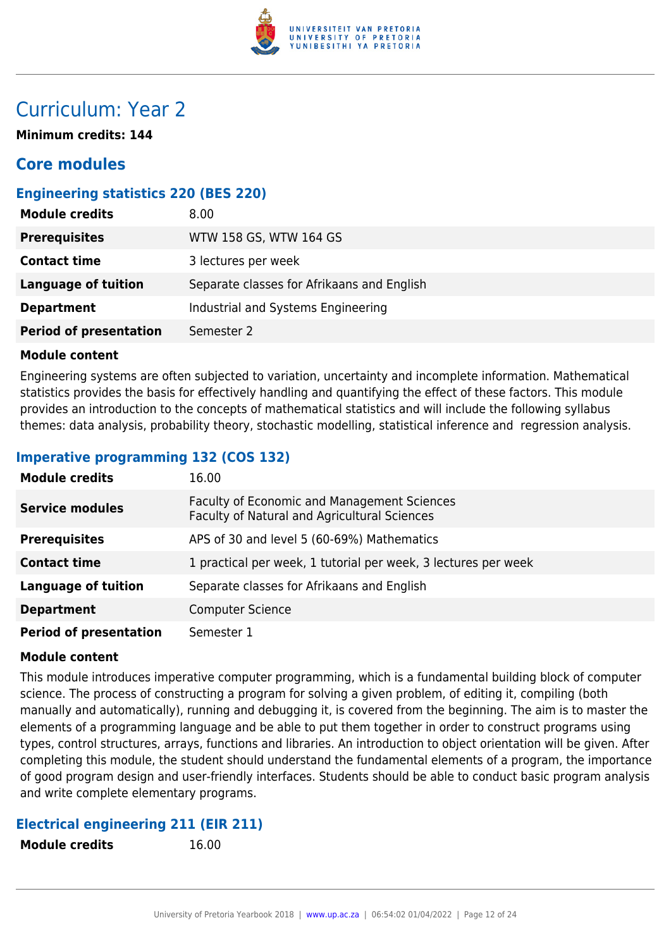

# Curriculum: Year 2

**Minimum credits: 144**

# **Core modules**

# **Engineering statistics 220 (BES 220)**

| <b>Module credits</b>         | 8.00                                       |
|-------------------------------|--------------------------------------------|
| <b>Prerequisites</b>          | WTW 158 GS, WTW 164 GS                     |
| <b>Contact time</b>           | 3 lectures per week                        |
| <b>Language of tuition</b>    | Separate classes for Afrikaans and English |
| <b>Department</b>             | Industrial and Systems Engineering         |
| <b>Period of presentation</b> | Semester 2                                 |

#### **Module content**

Engineering systems are often subjected to variation, uncertainty and incomplete information. Mathematical statistics provides the basis for effectively handling and quantifying the effect of these factors. This module provides an introduction to the concepts of mathematical statistics and will include the following syllabus themes: data analysis, probability theory, stochastic modelling, statistical inference and regression analysis.

# **Imperative programming 132 (COS 132)**

| <b>Module credits</b>         | 16.00                                                                                              |
|-------------------------------|----------------------------------------------------------------------------------------------------|
| <b>Service modules</b>        | <b>Faculty of Economic and Management Sciences</b><br>Faculty of Natural and Agricultural Sciences |
| <b>Prerequisites</b>          | APS of 30 and level 5 (60-69%) Mathematics                                                         |
| <b>Contact time</b>           | 1 practical per week, 1 tutorial per week, 3 lectures per week                                     |
| <b>Language of tuition</b>    | Separate classes for Afrikaans and English                                                         |
| <b>Department</b>             | <b>Computer Science</b>                                                                            |
| <b>Period of presentation</b> | Semester 1                                                                                         |

### **Module content**

This module introduces imperative computer programming, which is a fundamental building block of computer science. The process of constructing a program for solving a given problem, of editing it, compiling (both manually and automatically), running and debugging it, is covered from the beginning. The aim is to master the elements of a programming language and be able to put them together in order to construct programs using types, control structures, arrays, functions and libraries. An introduction to object orientation will be given. After completing this module, the student should understand the fundamental elements of a program, the importance of good program design and user-friendly interfaces. Students should be able to conduct basic program analysis and write complete elementary programs.

### **Electrical engineering 211 (EIR 211)**

**Module credits** 16.00

|  | <b>Module credits</b> |  |
|--|-----------------------|--|
|--|-----------------------|--|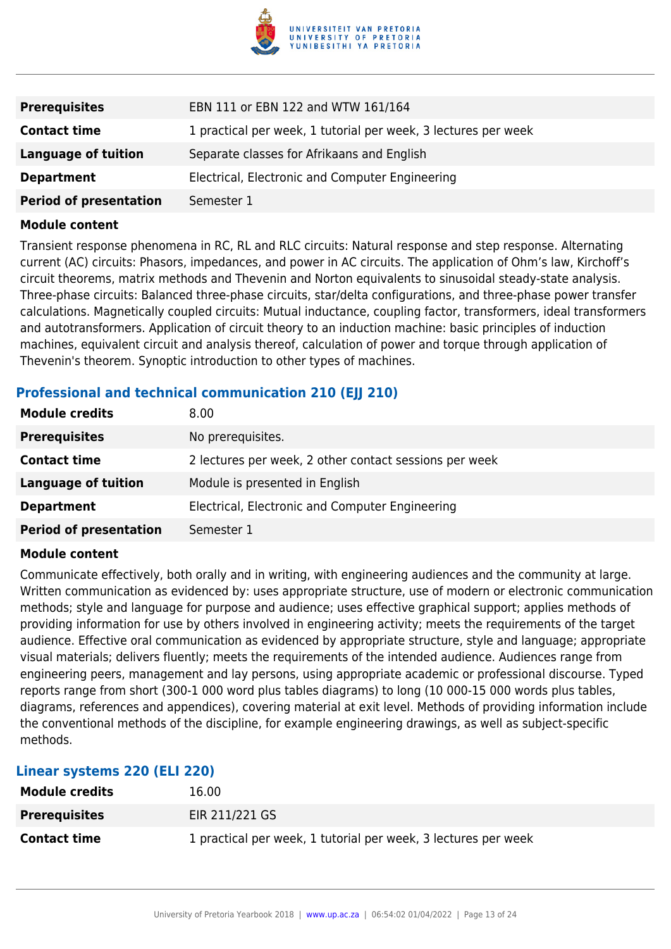

| <b>Prerequisites</b>          | EBN 111 or EBN 122 and WTW 161/164                             |
|-------------------------------|----------------------------------------------------------------|
| <b>Contact time</b>           | 1 practical per week, 1 tutorial per week, 3 lectures per week |
| <b>Language of tuition</b>    | Separate classes for Afrikaans and English                     |
| <b>Department</b>             | Electrical, Electronic and Computer Engineering                |
| <b>Period of presentation</b> | Semester 1                                                     |

Transient response phenomena in RC, RL and RLC circuits: Natural response and step response. Alternating current (AC) circuits: Phasors, impedances, and power in AC circuits. The application of Ohm's law, Kirchoff's circuit theorems, matrix methods and Thevenin and Norton equivalents to sinusoidal steady-state analysis. Three-phase circuits: Balanced three-phase circuits, star/delta configurations, and three-phase power transfer calculations. Magnetically coupled circuits: Mutual inductance, coupling factor, transformers, ideal transformers and autotransformers. Application of circuit theory to an induction machine: basic principles of induction machines, equivalent circuit and analysis thereof, calculation of power and torque through application of Thevenin's theorem. Synoptic introduction to other types of machines.

# **Professional and technical communication 210 (EII 210)**

| <b>Module credits</b>         | 8.00                                                   |
|-------------------------------|--------------------------------------------------------|
| <b>Prerequisites</b>          | No prerequisites.                                      |
| <b>Contact time</b>           | 2 lectures per week, 2 other contact sessions per week |
| Language of tuition           | Module is presented in English                         |
| <b>Department</b>             | Electrical, Electronic and Computer Engineering        |
| <b>Period of presentation</b> | Semester 1                                             |

#### **Module content**

Communicate effectively, both orally and in writing, with engineering audiences and the community at large. Written communication as evidenced by: uses appropriate structure, use of modern or electronic communication methods; style and language for purpose and audience; uses effective graphical support; applies methods of providing information for use by others involved in engineering activity; meets the requirements of the target audience. Effective oral communication as evidenced by appropriate structure, style and language; appropriate visual materials; delivers fluently; meets the requirements of the intended audience. Audiences range from engineering peers, management and lay persons, using appropriate academic or professional discourse. Typed reports range from short (300-1 000 word plus tables diagrams) to long (10 000-15 000 words plus tables, diagrams, references and appendices), covering material at exit level. Methods of providing information include the conventional methods of the discipline, for example engineering drawings, as well as subject-specific methods.

| Linear systems 220 (ELI 220) |                                                                |  |
|------------------------------|----------------------------------------------------------------|--|
| <b>Module credits</b>        | 16.00                                                          |  |
| <b>Prerequisites</b>         | EIR 211/221 GS                                                 |  |
| <b>Contact time</b>          | 1 practical per week, 1 tutorial per week, 3 lectures per week |  |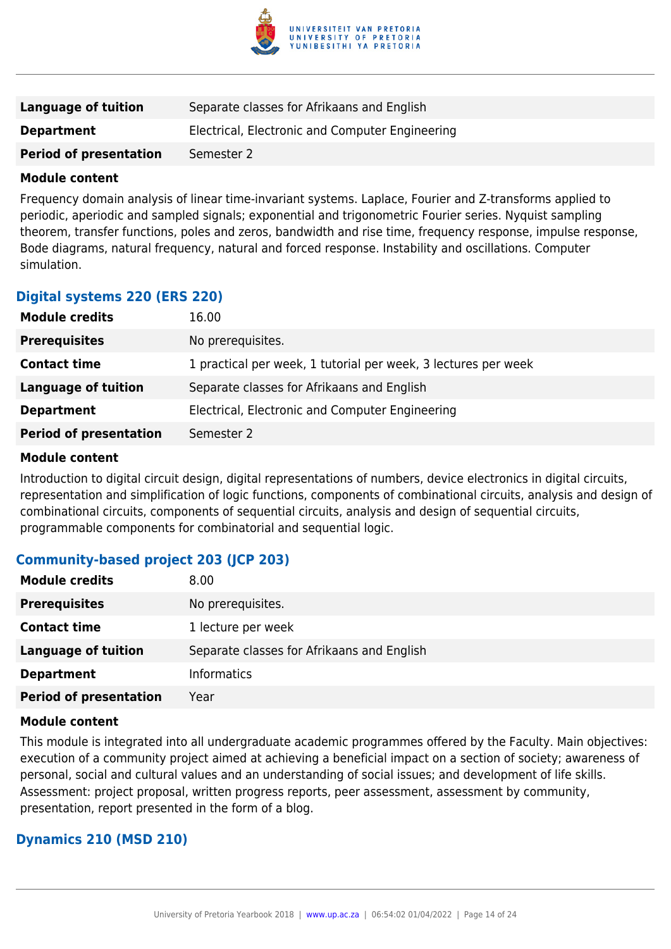

| <b>Language of tuition</b>    | Separate classes for Afrikaans and English      |
|-------------------------------|-------------------------------------------------|
| <b>Department</b>             | Electrical, Electronic and Computer Engineering |
| <b>Period of presentation</b> | Semester 2                                      |

Frequency domain analysis of linear time-invariant systems. Laplace, Fourier and Z-transforms applied to periodic, aperiodic and sampled signals; exponential and trigonometric Fourier series. Nyquist sampling theorem, transfer functions, poles and zeros, bandwidth and rise time, frequency response, impulse response, Bode diagrams, natural frequency, natural and forced response. Instability and oscillations. Computer simulation.

### **Digital systems 220 (ERS 220)**

| <b>Module credits</b>         | 16.00                                                          |
|-------------------------------|----------------------------------------------------------------|
| <b>Prerequisites</b>          | No prerequisites.                                              |
| <b>Contact time</b>           | 1 practical per week, 1 tutorial per week, 3 lectures per week |
| Language of tuition           | Separate classes for Afrikaans and English                     |
| <b>Department</b>             | Electrical, Electronic and Computer Engineering                |
| <b>Period of presentation</b> | Semester 2                                                     |

#### **Module content**

Introduction to digital circuit design, digital representations of numbers, device electronics in digital circuits, representation and simplification of logic functions, components of combinational circuits, analysis and design of combinational circuits, components of sequential circuits, analysis and design of sequential circuits, programmable components for combinatorial and sequential logic.

# **Community-based project 203 (JCP 203)**

| <b>Module credits</b>         | 8.00                                       |
|-------------------------------|--------------------------------------------|
| <b>Prerequisites</b>          | No prerequisites.                          |
| <b>Contact time</b>           | 1 lecture per week                         |
| <b>Language of tuition</b>    | Separate classes for Afrikaans and English |
| <b>Department</b>             | <b>Informatics</b>                         |
| <b>Period of presentation</b> | Year                                       |

#### **Module content**

This module is integrated into all undergraduate academic programmes offered by the Faculty. Main objectives: execution of a community project aimed at achieving a beneficial impact on a section of society; awareness of personal, social and cultural values and an understanding of social issues; and development of life skills. Assessment: project proposal, written progress reports, peer assessment, assessment by community, presentation, report presented in the form of a blog.

### **Dynamics 210 (MSD 210)**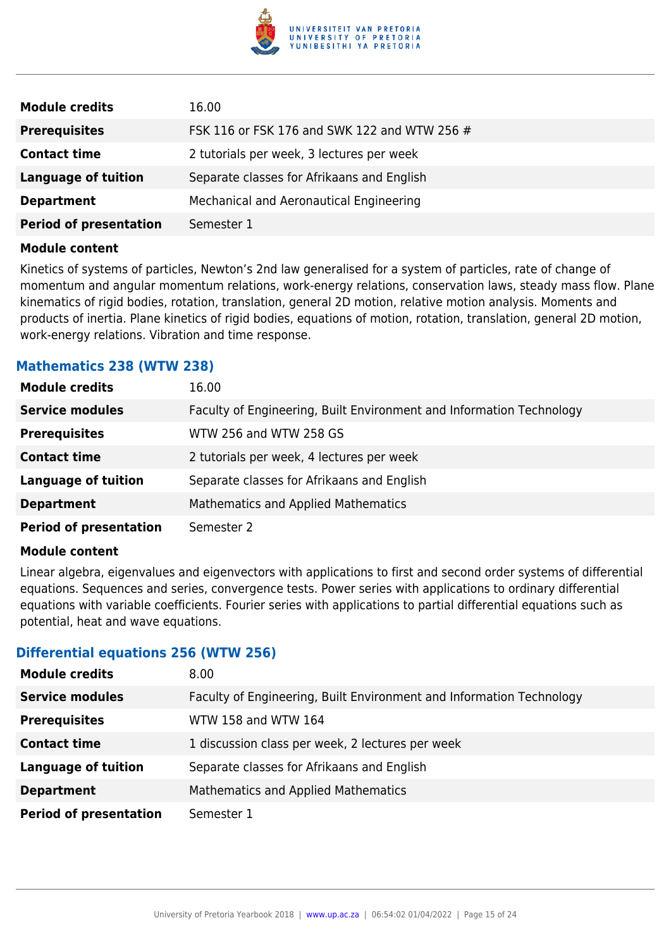

| 16.00                                        |
|----------------------------------------------|
| FSK 116 or FSK 176 and SWK 122 and WTW 256 # |
| 2 tutorials per week, 3 lectures per week    |
| Separate classes for Afrikaans and English   |
| Mechanical and Aeronautical Engineering      |
| Semester 1                                   |
|                                              |

Kinetics of systems of particles, Newton's 2nd law generalised for a system of particles, rate of change of momentum and angular momentum relations, work-energy relations, conservation laws, steady mass flow. Plane kinematics of rigid bodies, rotation, translation, general 2D motion, relative motion analysis. Moments and products of inertia. Plane kinetics of rigid bodies, equations of motion, rotation, translation, general 2D motion, work-energy relations. Vibration and time response.

### **Mathematics 238 (WTW 238)**

| <b>Module credits</b>         | 16.00                                                                |
|-------------------------------|----------------------------------------------------------------------|
| <b>Service modules</b>        | Faculty of Engineering, Built Environment and Information Technology |
| <b>Prerequisites</b>          | WTW 256 and WTW 258 GS                                               |
| <b>Contact time</b>           | 2 tutorials per week, 4 lectures per week                            |
| <b>Language of tuition</b>    | Separate classes for Afrikaans and English                           |
| <b>Department</b>             | <b>Mathematics and Applied Mathematics</b>                           |
| <b>Period of presentation</b> | Semester 2                                                           |

#### **Module content**

Linear algebra, eigenvalues and eigenvectors with applications to first and second order systems of differential equations. Sequences and series, convergence tests. Power series with applications to ordinary differential equations with variable coefficients. Fourier series with applications to partial differential equations such as potential, heat and wave equations.

### **Differential equations 256 (WTW 256)**

| <b>Module credits</b>         | 8.00                                                                 |
|-------------------------------|----------------------------------------------------------------------|
| <b>Service modules</b>        | Faculty of Engineering, Built Environment and Information Technology |
| <b>Prerequisites</b>          | WTW 158 and WTW 164                                                  |
| <b>Contact time</b>           | 1 discussion class per week, 2 lectures per week                     |
| <b>Language of tuition</b>    | Separate classes for Afrikaans and English                           |
| <b>Department</b>             | Mathematics and Applied Mathematics                                  |
| <b>Period of presentation</b> | Semester 1                                                           |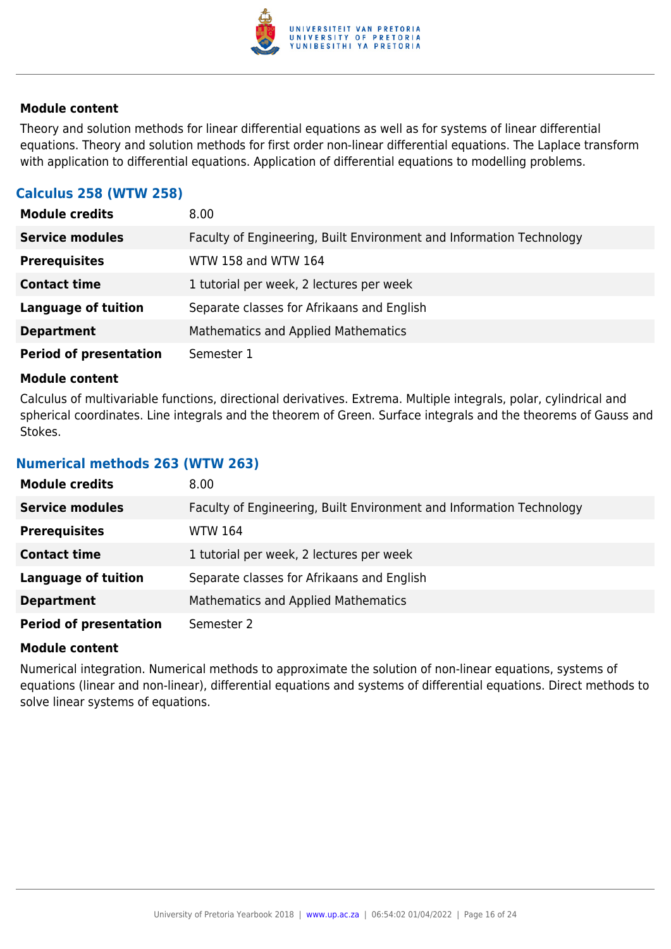

Theory and solution methods for linear differential equations as well as for systems of linear differential equations. Theory and solution methods for first order non-linear differential equations. The Laplace transform with application to differential equations. Application of differential equations to modelling problems.

# **Calculus 258 (WTW 258)**

| <b>Module credits</b>         | 8.00 <sub>1</sub>                                                    |
|-------------------------------|----------------------------------------------------------------------|
| <b>Service modules</b>        | Faculty of Engineering, Built Environment and Information Technology |
| <b>Prerequisites</b>          | WTW 158 and WTW 164                                                  |
| <b>Contact time</b>           | 1 tutorial per week, 2 lectures per week                             |
| <b>Language of tuition</b>    | Separate classes for Afrikaans and English                           |
| <b>Department</b>             | Mathematics and Applied Mathematics                                  |
| <b>Period of presentation</b> | Semester 1                                                           |

#### **Module content**

Calculus of multivariable functions, directional derivatives. Extrema. Multiple integrals, polar, cylindrical and spherical coordinates. Line integrals and the theorem of Green. Surface integrals and the theorems of Gauss and Stokes.

### **Numerical methods 263 (WTW 263)**

| <b>Module credits</b>         | 8.00                                                                 |
|-------------------------------|----------------------------------------------------------------------|
| <b>Service modules</b>        | Faculty of Engineering, Built Environment and Information Technology |
| <b>Prerequisites</b>          | WTW 164                                                              |
| <b>Contact time</b>           | 1 tutorial per week, 2 lectures per week                             |
| <b>Language of tuition</b>    | Separate classes for Afrikaans and English                           |
| <b>Department</b>             | Mathematics and Applied Mathematics                                  |
| <b>Period of presentation</b> | Semester 2                                                           |

### **Module content**

Numerical integration. Numerical methods to approximate the solution of non-linear equations, systems of equations (linear and non-linear), differential equations and systems of differential equations. Direct methods to solve linear systems of equations.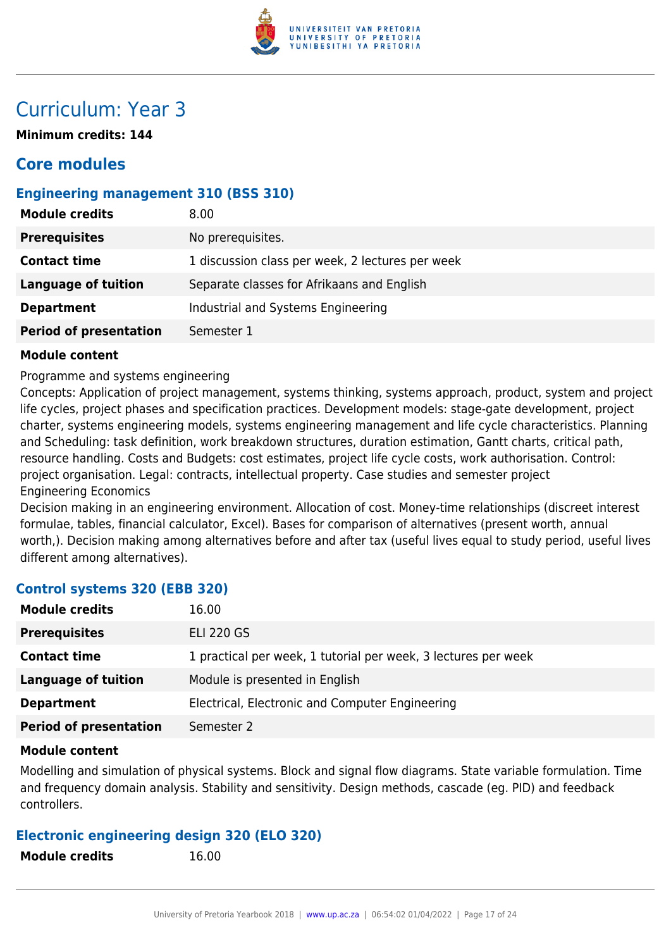

# Curriculum: Year 3

**Minimum credits: 144**

# **Core modules**

# **Engineering management 310 (BSS 310)**

| <b>Module credits</b>         | 8.00                                             |
|-------------------------------|--------------------------------------------------|
| <b>Prerequisites</b>          | No prerequisites.                                |
| <b>Contact time</b>           | 1 discussion class per week, 2 lectures per week |
| <b>Language of tuition</b>    | Separate classes for Afrikaans and English       |
| <b>Department</b>             | Industrial and Systems Engineering               |
| <b>Period of presentation</b> | Semester 1                                       |

### **Module content**

Programme and systems engineering

Concepts: Application of project management, systems thinking, systems approach, product, system and project life cycles, project phases and specification practices. Development models: stage-gate development, project charter, systems engineering models, systems engineering management and life cycle characteristics. Planning and Scheduling: task definition, work breakdown structures, duration estimation, Gantt charts, critical path, resource handling. Costs and Budgets: cost estimates, project life cycle costs, work authorisation. Control: project organisation. Legal: contracts, intellectual property. Case studies and semester project Engineering Economics

Decision making in an engineering environment. Allocation of cost. Money-time relationships (discreet interest formulae, tables, financial calculator, Excel). Bases for comparison of alternatives (present worth, annual worth,). Decision making among alternatives before and after tax (useful lives equal to study period, useful lives different among alternatives).

# **Control systems 320 (EBB 320)**

| <b>Module credits</b>         | 16.00                                                          |
|-------------------------------|----------------------------------------------------------------|
| <b>Prerequisites</b>          | <b>ELI 220 GS</b>                                              |
| <b>Contact time</b>           | 1 practical per week, 1 tutorial per week, 3 lectures per week |
| <b>Language of tuition</b>    | Module is presented in English                                 |
| <b>Department</b>             | Electrical, Electronic and Computer Engineering                |
| <b>Period of presentation</b> | Semester 2                                                     |

### **Module content**

Modelling and simulation of physical systems. Block and signal flow diagrams. State variable formulation. Time and frequency domain analysis. Stability and sensitivity. Design methods, cascade (eg. PID) and feedback controllers.

### **Electronic engineering design 320 (ELO 320)**

**Module credits** 16.00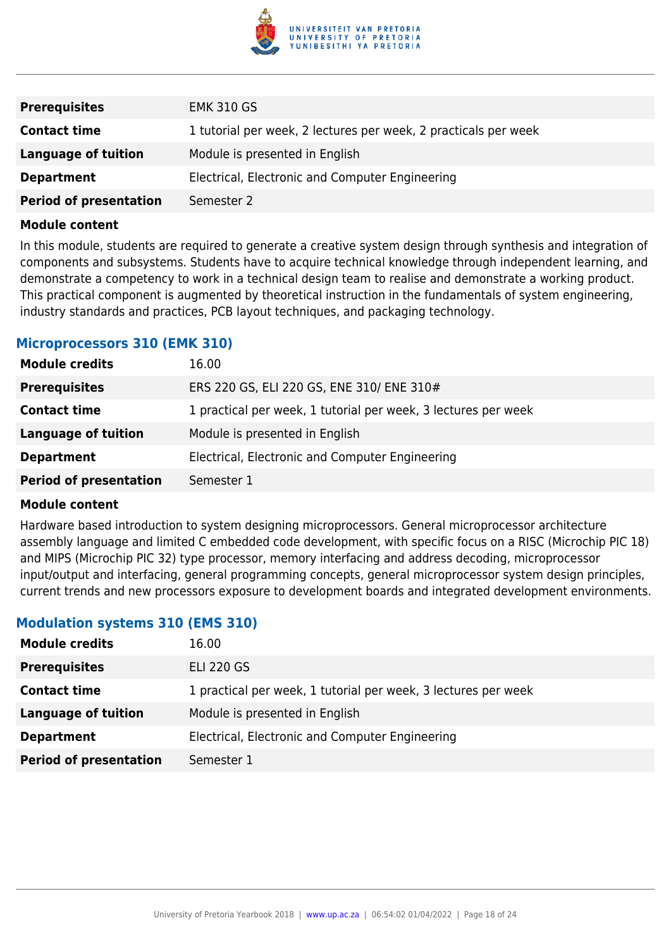

| <b>Prerequisites</b>          | <b>EMK 310 GS</b>                                               |
|-------------------------------|-----------------------------------------------------------------|
| <b>Contact time</b>           | 1 tutorial per week, 2 lectures per week, 2 practicals per week |
| Language of tuition           | Module is presented in English                                  |
| <b>Department</b>             | Electrical, Electronic and Computer Engineering                 |
| <b>Period of presentation</b> | Semester 2                                                      |

In this module, students are required to generate a creative system design through synthesis and integration of components and subsystems. Students have to acquire technical knowledge through independent learning, and demonstrate a competency to work in a technical design team to realise and demonstrate a working product. This practical component is augmented by theoretical instruction in the fundamentals of system engineering, industry standards and practices, PCB layout techniques, and packaging technology.

#### **Microprocessors 310 (EMK 310)**

| <b>Module credits</b>         | 16.00                                                          |
|-------------------------------|----------------------------------------------------------------|
| <b>Prerequisites</b>          | ERS 220 GS, ELI 220 GS, ENE 310/ ENE 310#                      |
| <b>Contact time</b>           | 1 practical per week, 1 tutorial per week, 3 lectures per week |
| Language of tuition           | Module is presented in English                                 |
| <b>Department</b>             | Electrical, Electronic and Computer Engineering                |
| <b>Period of presentation</b> | Semester 1                                                     |

#### **Module content**

Hardware based introduction to system designing microprocessors. General microprocessor architecture assembly language and limited C embedded code development, with specific focus on a RISC (Microchip PIC 18) and MIPS (Microchip PIC 32) type processor, memory interfacing and address decoding, microprocessor input/output and interfacing, general programming concepts, general microprocessor system design principles, current trends and new processors exposure to development boards and integrated development environments.

#### **Modulation systems 310 (EMS 310)**

| <b>Module credits</b>         | 16.00                                                          |
|-------------------------------|----------------------------------------------------------------|
| <b>Prerequisites</b>          | <b>ELI 220 GS</b>                                              |
| <b>Contact time</b>           | 1 practical per week, 1 tutorial per week, 3 lectures per week |
| <b>Language of tuition</b>    | Module is presented in English                                 |
| <b>Department</b>             | Electrical, Electronic and Computer Engineering                |
| <b>Period of presentation</b> | Semester 1                                                     |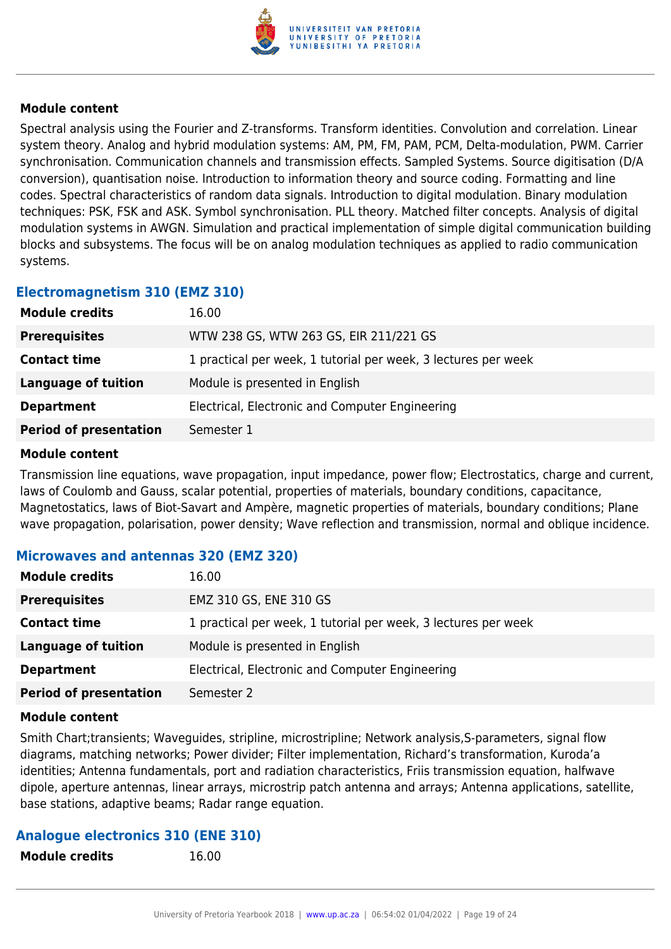

Spectral analysis using the Fourier and Z-transforms. Transform identities. Convolution and correlation. Linear system theory. Analog and hybrid modulation systems: AM, PM, FM, PAM, PCM, Delta-modulation, PWM. Carrier synchronisation. Communication channels and transmission effects. Sampled Systems. Source digitisation (D/A conversion), quantisation noise. Introduction to information theory and source coding. Formatting and line codes. Spectral characteristics of random data signals. Introduction to digital modulation. Binary modulation techniques: PSK, FSK and ASK. Symbol synchronisation. PLL theory. Matched filter concepts. Analysis of digital modulation systems in AWGN. Simulation and practical implementation of simple digital communication building blocks and subsystems. The focus will be on analog modulation techniques as applied to radio communication systems.

### **Electromagnetism 310 (EMZ 310)**

| <b>Module credits</b>         | 16.00                                                          |
|-------------------------------|----------------------------------------------------------------|
| <b>Prerequisites</b>          | WTW 238 GS, WTW 263 GS, EIR 211/221 GS                         |
| <b>Contact time</b>           | 1 practical per week, 1 tutorial per week, 3 lectures per week |
| Language of tuition           | Module is presented in English                                 |
| <b>Department</b>             | Electrical, Electronic and Computer Engineering                |
| <b>Period of presentation</b> | Semester 1                                                     |

#### **Module content**

Transmission line equations, wave propagation, input impedance, power flow; Electrostatics, charge and current, laws of Coulomb and Gauss, scalar potential, properties of materials, boundary conditions, capacitance, Magnetostatics, laws of Biot-Savart and Ampère, magnetic properties of materials, boundary conditions; Plane wave propagation, polarisation, power density; Wave reflection and transmission, normal and oblique incidence.

### **Microwaves and antennas 320 (EMZ 320)**

| <b>Module credits</b>         | 16.00                                                          |
|-------------------------------|----------------------------------------------------------------|
| <b>Prerequisites</b>          | EMZ 310 GS, ENE 310 GS                                         |
| <b>Contact time</b>           | 1 practical per week, 1 tutorial per week, 3 lectures per week |
| Language of tuition           | Module is presented in English                                 |
| <b>Department</b>             | Electrical, Electronic and Computer Engineering                |
| <b>Period of presentation</b> | Semester 2                                                     |

#### **Module content**

Smith Chart;transients; Waveguides, stripline, microstripline; Network analysis,S-parameters, signal flow diagrams, matching networks; Power divider; Filter implementation, Richard's transformation, Kuroda'a identities; Antenna fundamentals, port and radiation characteristics, Friis transmission equation, halfwave dipole, aperture antennas, linear arrays, microstrip patch antenna and arrays; Antenna applications, satellite, base stations, adaptive beams; Radar range equation.

# **Analogue electronics 310 (ENE 310)**

**Module credits** 16.00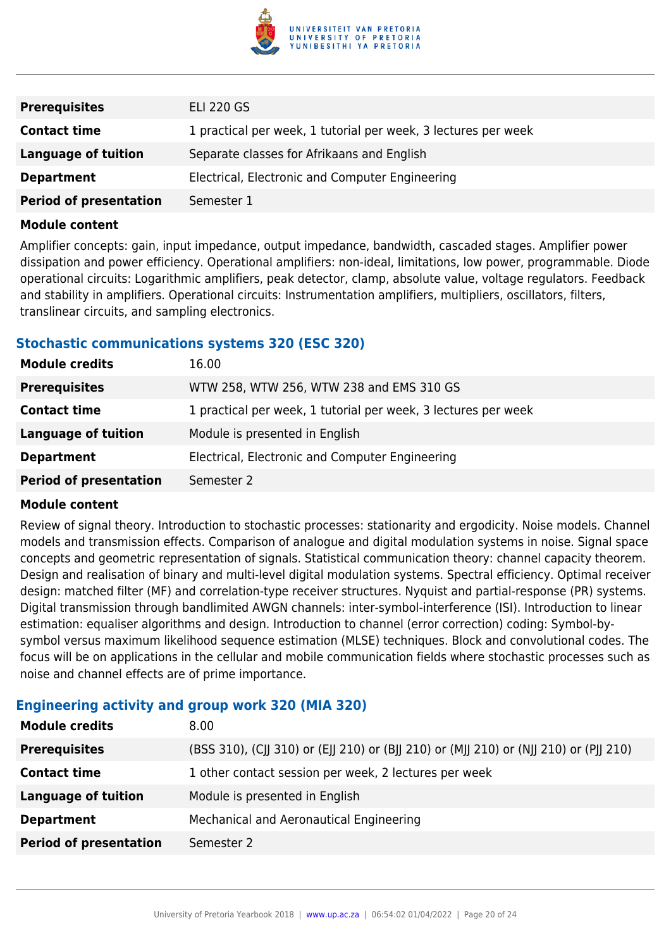

| <b>Prerequisites</b>          | <b>ELI 220 GS</b>                                              |
|-------------------------------|----------------------------------------------------------------|
| <b>Contact time</b>           | 1 practical per week, 1 tutorial per week, 3 lectures per week |
| Language of tuition           | Separate classes for Afrikaans and English                     |
| <b>Department</b>             | Electrical, Electronic and Computer Engineering                |
| <b>Period of presentation</b> | Semester 1                                                     |

Amplifier concepts: gain, input impedance, output impedance, bandwidth, cascaded stages. Amplifier power dissipation and power efficiency. Operational amplifiers: non-ideal, limitations, low power, programmable. Diode operational circuits: Logarithmic amplifiers, peak detector, clamp, absolute value, voltage regulators. Feedback and stability in amplifiers. Operational circuits: Instrumentation amplifiers, multipliers, oscillators, filters, translinear circuits, and sampling electronics.

### **Stochastic communications systems 320 (ESC 320)**

| <b>Module credits</b>         | 16.00                                                          |
|-------------------------------|----------------------------------------------------------------|
| <b>Prerequisites</b>          | WTW 258, WTW 256, WTW 238 and EMS 310 GS                       |
| <b>Contact time</b>           | 1 practical per week, 1 tutorial per week, 3 lectures per week |
| <b>Language of tuition</b>    | Module is presented in English                                 |
| <b>Department</b>             | Electrical, Electronic and Computer Engineering                |
| <b>Period of presentation</b> | Semester 2                                                     |

### **Module content**

Review of signal theory. Introduction to stochastic processes: stationarity and ergodicity. Noise models. Channel models and transmission effects. Comparison of analogue and digital modulation systems in noise. Signal space concepts and geometric representation of signals. Statistical communication theory: channel capacity theorem. Design and realisation of binary and multi-level digital modulation systems. Spectral efficiency. Optimal receiver design: matched filter (MF) and correlation-type receiver structures. Nyquist and partial-response (PR) systems. Digital transmission through bandlimited AWGN channels: inter-symbol-interference (ISI). Introduction to linear estimation: equaliser algorithms and design. Introduction to channel (error correction) coding: Symbol-bysymbol versus maximum likelihood sequence estimation (MLSE) techniques. Block and convolutional codes. The focus will be on applications in the cellular and mobile communication fields where stochastic processes such as noise and channel effects are of prime importance.

# **Engineering activity and group work 320 (MIA 320)**

| <b>Module credits</b>         | 8.00                                                                                  |
|-------------------------------|---------------------------------------------------------------------------------------|
| <b>Prerequisites</b>          | (BSS 310), (CJJ 310) or (EJJ 210) or (BJJ 210) or (MJJ 210) or (NJJ 210) or (PJJ 210) |
| <b>Contact time</b>           | 1 other contact session per week, 2 lectures per week                                 |
| <b>Language of tuition</b>    | Module is presented in English                                                        |
| <b>Department</b>             | Mechanical and Aeronautical Engineering                                               |
| <b>Period of presentation</b> | Semester 2                                                                            |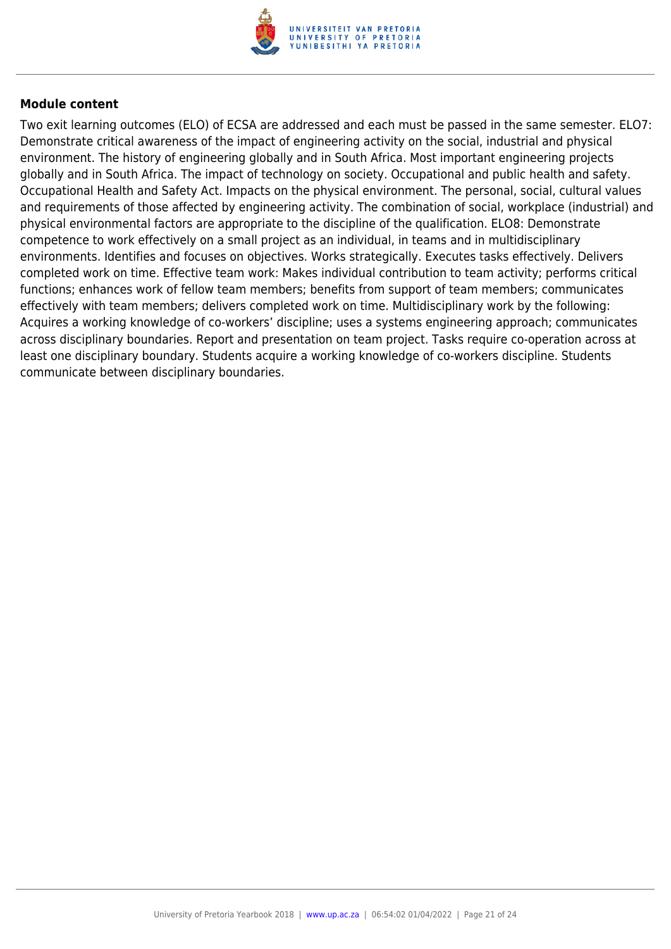

Two exit learning outcomes (ELO) of ECSA are addressed and each must be passed in the same semester. ELO7: Demonstrate critical awareness of the impact of engineering activity on the social, industrial and physical environment. The history of engineering globally and in South Africa. Most important engineering projects globally and in South Africa. The impact of technology on society. Occupational and public health and safety. Occupational Health and Safety Act. Impacts on the physical environment. The personal, social, cultural values and requirements of those affected by engineering activity. The combination of social, workplace (industrial) and physical environmental factors are appropriate to the discipline of the qualification. ELO8: Demonstrate competence to work effectively on a small project as an individual, in teams and in multidisciplinary environments. Identifies and focuses on objectives. Works strategically. Executes tasks effectively. Delivers completed work on time. Effective team work: Makes individual contribution to team activity; performs critical functions; enhances work of fellow team members; benefits from support of team members; communicates effectively with team members; delivers completed work on time. Multidisciplinary work by the following: Acquires a working knowledge of co-workers' discipline; uses a systems engineering approach; communicates across disciplinary boundaries. Report and presentation on team project. Tasks require co-operation across at least one disciplinary boundary. Students acquire a working knowledge of co-workers discipline. Students communicate between disciplinary boundaries.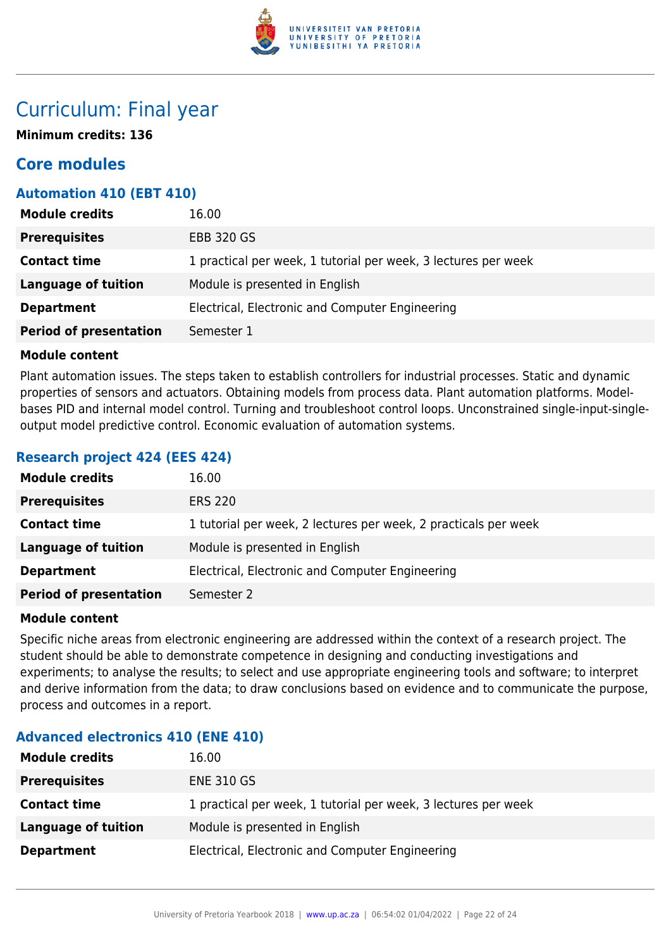

# Curriculum: Final year

**Minimum credits: 136**

# **Core modules**

# **Automation 410 (EBT 410)**

| <b>Module credits</b>         | 16.00                                                          |
|-------------------------------|----------------------------------------------------------------|
| <b>Prerequisites</b>          | <b>EBB 320 GS</b>                                              |
| <b>Contact time</b>           | 1 practical per week, 1 tutorial per week, 3 lectures per week |
| <b>Language of tuition</b>    | Module is presented in English                                 |
| <b>Department</b>             | Electrical, Electronic and Computer Engineering                |
| <b>Period of presentation</b> | Semester 1                                                     |

# **Module content**

Plant automation issues. The steps taken to establish controllers for industrial processes. Static and dynamic properties of sensors and actuators. Obtaining models from process data. Plant automation platforms. Modelbases PID and internal model control. Turning and troubleshoot control loops. Unconstrained single-input-singleoutput model predictive control. Economic evaluation of automation systems.

# **Research project 424 (EES 424)**

| <b>Module credits</b>         | 16.00                                                           |
|-------------------------------|-----------------------------------------------------------------|
| <b>Prerequisites</b>          | <b>ERS 220</b>                                                  |
| <b>Contact time</b>           | 1 tutorial per week, 2 lectures per week, 2 practicals per week |
| <b>Language of tuition</b>    | Module is presented in English                                  |
| <b>Department</b>             | Electrical, Electronic and Computer Engineering                 |
| <b>Period of presentation</b> | Semester 2                                                      |

#### **Module content**

Specific niche areas from electronic engineering are addressed within the context of a research project. The student should be able to demonstrate competence in designing and conducting investigations and experiments; to analyse the results; to select and use appropriate engineering tools and software; to interpret and derive information from the data; to draw conclusions based on evidence and to communicate the purpose, process and outcomes in a report.

# **Advanced electronics 410 (ENE 410)**

| <b>Module credits</b> | 16.00                                                          |
|-----------------------|----------------------------------------------------------------|
| <b>Prerequisites</b>  | <b>ENE 310 GS</b>                                              |
| <b>Contact time</b>   | 1 practical per week, 1 tutorial per week, 3 lectures per week |
| Language of tuition   | Module is presented in English                                 |
| <b>Department</b>     | Electrical, Electronic and Computer Engineering                |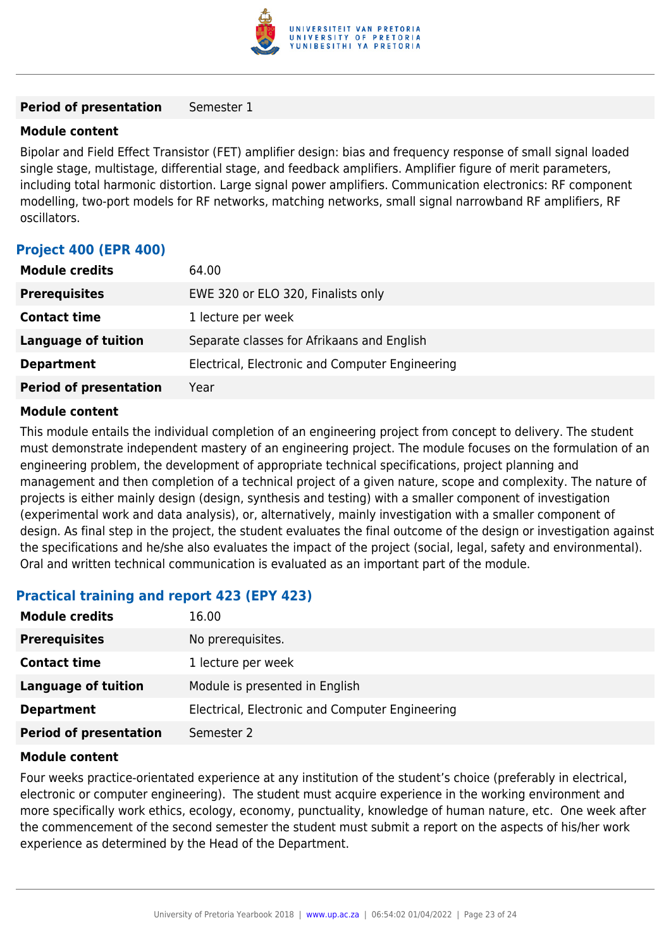

#### **Period of presentation** Semester 1

#### **Module content**

Bipolar and Field Effect Transistor (FET) amplifier design: bias and frequency response of small signal loaded single stage, multistage, differential stage, and feedback amplifiers. Amplifier figure of merit parameters, including total harmonic distortion. Large signal power amplifiers. Communication electronics: RF component modelling, two-port models for RF networks, matching networks, small signal narrowband RF amplifiers, RF oscillators.

# **Project 400 (EPR 400)**

| <b>Module credits</b>         | 64.00                                           |
|-------------------------------|-------------------------------------------------|
| <b>Prerequisites</b>          | EWE 320 or ELO 320, Finalists only              |
| <b>Contact time</b>           | 1 lecture per week                              |
| <b>Language of tuition</b>    | Separate classes for Afrikaans and English      |
| <b>Department</b>             | Electrical, Electronic and Computer Engineering |
| <b>Period of presentation</b> | Year                                            |

#### **Module content**

This module entails the individual completion of an engineering project from concept to delivery. The student must demonstrate independent mastery of an engineering project. The module focuses on the formulation of an engineering problem, the development of appropriate technical specifications, project planning and management and then completion of a technical project of a given nature, scope and complexity. The nature of projects is either mainly design (design, synthesis and testing) with a smaller component of investigation (experimental work and data analysis), or, alternatively, mainly investigation with a smaller component of design. As final step in the project, the student evaluates the final outcome of the design or investigation against the specifications and he/she also evaluates the impact of the project (social, legal, safety and environmental). Oral and written technical communication is evaluated as an important part of the module.

# **Practical training and report 423 (EPY 423)**

| <b>Module credits</b>         | 16.00                                           |
|-------------------------------|-------------------------------------------------|
| <b>Prerequisites</b>          | No prerequisites.                               |
| <b>Contact time</b>           | 1 lecture per week                              |
| <b>Language of tuition</b>    | Module is presented in English                  |
| <b>Department</b>             | Electrical, Electronic and Computer Engineering |
| <b>Period of presentation</b> | Semester 2                                      |

#### **Module content**

Four weeks practice-orientated experience at any institution of the student's choice (preferably in electrical, electronic or computer engineering). The student must acquire experience in the working environment and more specifically work ethics, ecology, economy, punctuality, knowledge of human nature, etc. One week after the commencement of the second semester the student must submit a report on the aspects of his/her work experience as determined by the Head of the Department.